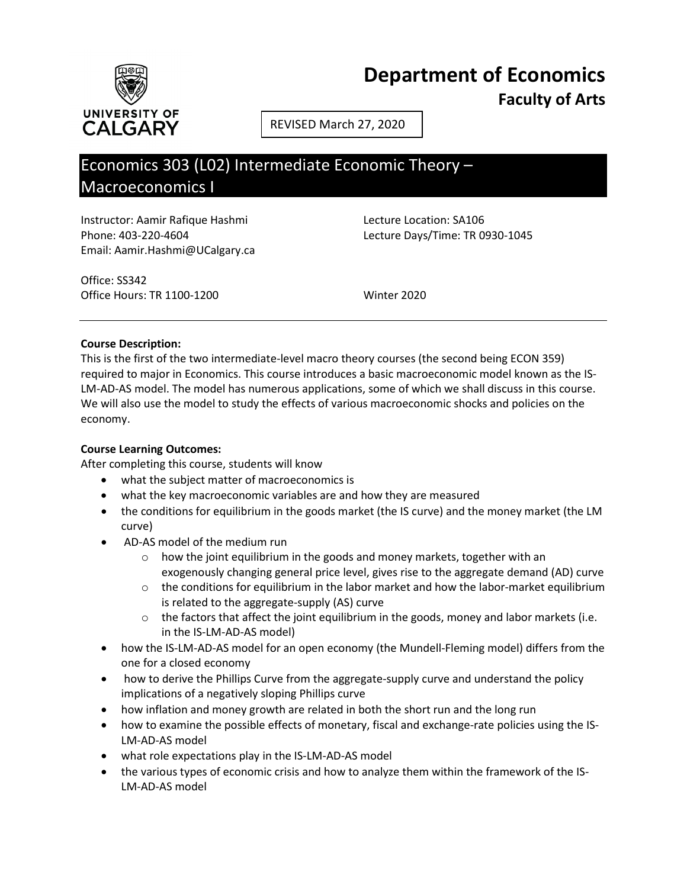

REVISED March 27, 2020

# Economics 303 (L02) Intermediate Economic Theory – Macroeconomics I

Instructor: Aamir Rafique Hashmi Lecture Location: SA106 Phone: 403-220-4604 Lecture Days/Time: TR 0930-1045 Email: Aamir.Hashmi@UCalgary.ca

Office: SS342 Office Hours: TR 1100-1200 Winter 2020

# **Course Description:**

This is the first of the two intermediate-level macro theory courses (the second being ECON 359) required to major in Economics. This course introduces a basic macroeconomic model known as the IS-LM-AD-AS model. The model has numerous applications, some of which we shall discuss in this course. We will also use the model to study the effects of various macroeconomic shocks and policies on the economy.

## **Course Learning Outcomes:**

After completing this course, students will know

- what the subject matter of macroeconomics is
- what the key macroeconomic variables are and how they are measured
- the conditions for equilibrium in the goods market (the IS curve) and the money market (the LM curve)
- AD-AS model of the medium run
	- o how the joint equilibrium in the goods and money markets, together with an exogenously changing general price level, gives rise to the aggregate demand (AD) curve
	- $\circ$  the conditions for equilibrium in the labor market and how the labor-market equilibrium is related to the aggregate-supply (AS) curve
	- $\circ$  the factors that affect the joint equilibrium in the goods, money and labor markets (i.e. in the IS-LM-AD-AS model)
- how the IS-LM-AD-AS model for an open economy (the Mundell-Fleming model) differs from the one for a closed economy
- how to derive the Phillips Curve from the aggregate-supply curve and understand the policy implications of a negatively sloping Phillips curve
- how inflation and money growth are related in both the short run and the long run
- how to examine the possible effects of monetary, fiscal and exchange-rate policies using the IS-LM-AD-AS model
- what role expectations play in the IS-LM-AD-AS model
- the various types of economic crisis and how to analyze them within the framework of the IS-LM-AD-AS model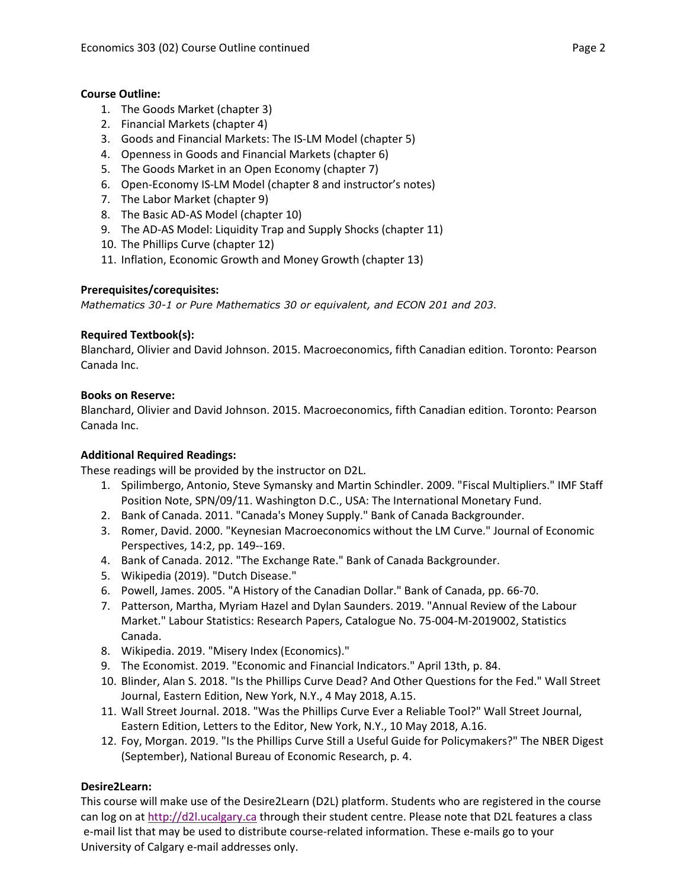# **Course Outline:**

- 1. The Goods Market (chapter 3)
- 2. Financial Markets (chapter 4)
- 3. Goods and Financial Markets: The IS-LM Model (chapter 5)
- 4. Openness in Goods and Financial Markets (chapter 6)
- 5. The Goods Market in an Open Economy (chapter 7)
- 6. Open-Economy IS-LM Model (chapter 8 and instructor's notes)
- 7. The Labor Market (chapter 9)
- 8. The Basic AD-AS Model (chapter 10)
- 9. The AD-AS Model: Liquidity Trap and Supply Shocks (chapter 11)
- 10. The Phillips Curve (chapter 12)
- 11. Inflation, Economic Growth and Money Growth (chapter 13)

# **Prerequisites/corequisites:**

*Mathematics 30-1 or Pure Mathematics 30 or equivalent, and ECON 201 and 203*.

## **Required Textbook(s):**

Blanchard, Olivier and David Johnson. 2015. Macroeconomics, fifth Canadian edition. Toronto: Pearson Canada Inc.

## **Books on Reserve:**

Blanchard, Olivier and David Johnson. 2015. Macroeconomics, fifth Canadian edition. Toronto: Pearson Canada Inc.

## **Additional Required Readings:**

These readings will be provided by the instructor on D2L.

- 1. Spilimbergo, Antonio, Steve Symansky and Martin Schindler. 2009. "Fiscal Multipliers." IMF Staff Position Note, SPN/09/11. Washington D.C., USA: The International Monetary Fund.
- 2. Bank of Canada. 2011. "Canada's Money Supply." Bank of Canada Backgrounder.
- 3. Romer, David. 2000. "Keynesian Macroeconomics without the LM Curve." Journal of Economic Perspectives, 14:2, pp. 149--169.
- 4. Bank of Canada. 2012. "The Exchange Rate." Bank of Canada Backgrounder.
- 5. Wikipedia (2019). "Dutch Disease."
- 6. Powell, James. 2005. "A History of the Canadian Dollar." Bank of Canada, pp. 66-70.
- 7. Patterson, Martha, Myriam Hazel and Dylan Saunders. 2019. "Annual Review of the Labour Market." Labour Statistics: Research Papers, Catalogue No. 75-004-M-2019002, Statistics Canada.
- 8. Wikipedia. 2019. "Misery Index (Economics)."
- 9. The Economist. 2019. "Economic and Financial Indicators." April 13th, p. 84.
- 10. Blinder, Alan S. 2018. "Is the Phillips Curve Dead? And Other Questions for the Fed." Wall Street Journal, Eastern Edition, New York, N.Y., 4 May 2018, A.15.
- 11. Wall Street Journal. 2018. "Was the Phillips Curve Ever a Reliable Tool?" Wall Street Journal, Eastern Edition, Letters to the Editor, New York, N.Y., 10 May 2018, A.16.
- 12. Foy, Morgan. 2019. "Is the Phillips Curve Still a Useful Guide for Policymakers?" The NBER Digest (September), National Bureau of Economic Research, p. 4.

# **Desire2Learn:**

This course will make use of the Desire2Learn (D2L) platform. Students who are registered in the course can log on a[t http://d2l.ucalgary.ca](http://d2l.ucalgary.ca/) through their student centre. Please note that D2L features a class e-mail list that may be used to distribute course-related information. These e-mails go to your University of Calgary e-mail addresses only.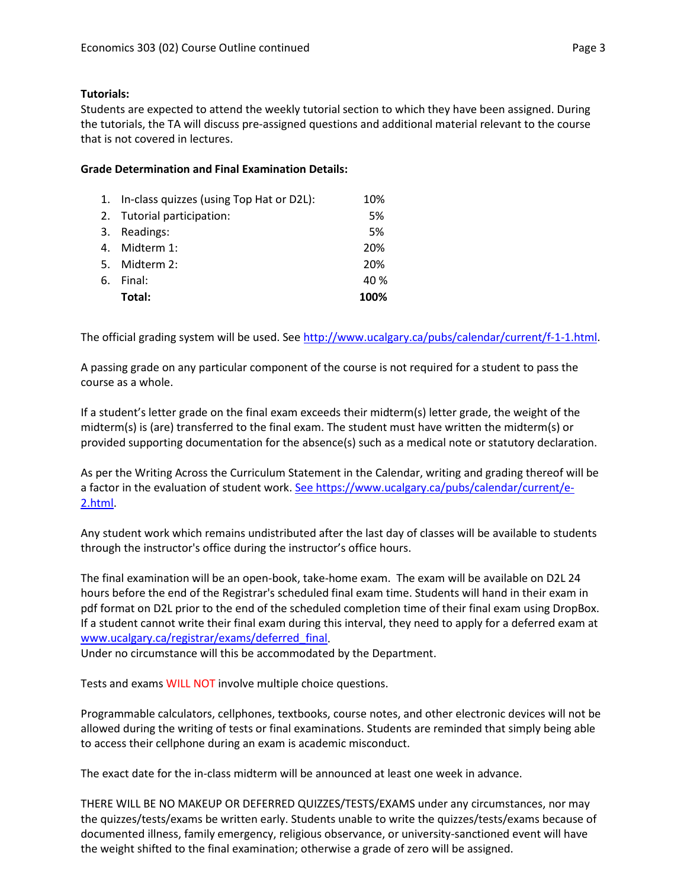# **Tutorials:**

Students are expected to attend the weekly tutorial section to which they have been assigned. During the tutorials, the TA will discuss pre-assigned questions and additional material relevant to the course that is not covered in lectures.

# **Grade Determination and Final Examination Details:**

| 1. In-class quizzes (using Top Hat or D2L): | 10%  |
|---------------------------------------------|------|
| 2. Tutorial participation:                  | 5%   |
| 3. Readings:                                | 5%   |
| 4. Midterm 1:                               | 20%  |
| 5. Midterm 2:                               | 20%  |
| 6. Final:                                   | 40 % |
| Total:                                      | 100% |

The official grading system will be used. Se[e http://www.ucalgary.ca/pubs/calendar/current/f-1-1.html.](http://www.ucalgary.ca/pubs/calendar/current/f-1-1.html)

A passing grade on any particular component of the course is not required for a student to pass the course as a whole.

If a student's letter grade on the final exam exceeds their midterm(s) letter grade, the weight of the midterm(s) is (are) transferred to the final exam. The student must have written the midterm(s) or provided supporting documentation for the absence(s) such as a medical note or statutory declaration.

As per the Writing Across the Curriculum Statement in the Calendar, writing and grading thereof will be a factor in the evaluation of student work. [See https://www.ucalgary.ca/pubs/calendar/current/e-](https://www.ucalgary.ca/pubs/calendar/current/e-2.html)[2.html.](https://www.ucalgary.ca/pubs/calendar/current/e-2.html)

Any student work which remains undistributed after the last day of classes will be available to students through the instructor's office during the instructor's office hours.

The final examination will be an open-book, take-home exam. The exam will be available on D2L 24 hours before the end of the Registrar's scheduled final exam time. Students will hand in their exam in pdf format on D2L prior to the end of the scheduled completion time of their final exam using DropBox. If a student cannot write their final exam during this interval, they need to apply for a deferred exam at [www.ucalgary.ca/registrar/exams/deferred\\_final.](http://www.ucalgary.ca/registrar/exams/deferred_final)

Under no circumstance will this be accommodated by the Department.

Tests and exams WILL NOT involve multiple choice questions.

Programmable calculators, cellphones, textbooks, course notes, and other electronic devices will not be allowed during the writing of tests or final examinations. Students are reminded that simply being able to access their cellphone during an exam is academic misconduct.

The exact date for the in-class midterm will be announced at least one week in advance.

THERE WILL BE NO MAKEUP OR DEFERRED QUIZZES/TESTS/EXAMS under any circumstances, nor may the quizzes/tests/exams be written early. Students unable to write the quizzes/tests/exams because of documented illness, family emergency, religious observance, or university-sanctioned event will have the weight shifted to the final examination; otherwise a grade of zero will be assigned.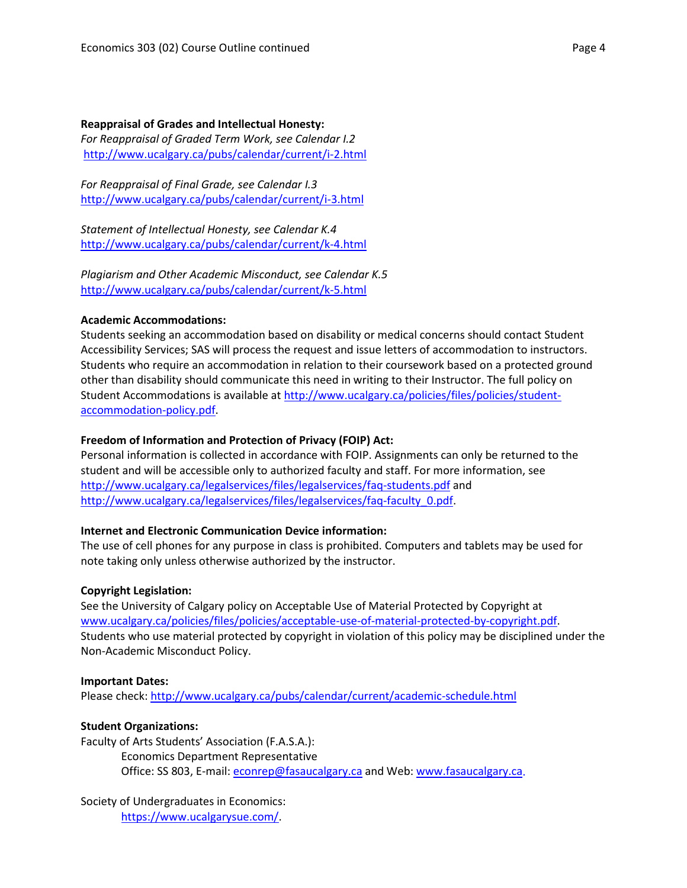#### **Reappraisal of Grades and Intellectual Honesty:**

*For Reappraisal of Graded Term Work, see Calendar I.2* <http://www.ucalgary.ca/pubs/calendar/current/i-2.html>

*For Reappraisal of Final Grade, see Calendar I.3* <http://www.ucalgary.ca/pubs/calendar/current/i-3.html>

*Statement of Intellectual Honesty, see Calendar K.4* <http://www.ucalgary.ca/pubs/calendar/current/k-4.html>

*Plagiarism and Other Academic Misconduct, see Calendar K.5* <http://www.ucalgary.ca/pubs/calendar/current/k-5.html>

## **Academic Accommodations:**

Students seeking an accommodation based on disability or medical concerns should contact Student Accessibility Services; SAS will process the request and issue letters of accommodation to instructors. Students who require an accommodation in relation to their coursework based on a protected ground other than disability should communicate this need in writing to their Instructor. The full policy on Student Accommodations is available at [http://www.ucalgary.ca/policies/files/policies/student](http://www.ucalgary.ca/policies/files/policies/student-accommodation-policy.pdf)[accommodation-policy.pdf.](http://www.ucalgary.ca/policies/files/policies/student-accommodation-policy.pdf)

### **Freedom of Information and Protection of Privacy (FOIP) Act:**

Personal information is collected in accordance with FOIP. Assignments can only be returned to the student and will be accessible only to authorized faculty and staff. For more information, see <http://www.ucalgary.ca/legalservices/files/legalservices/faq-students.pdf> and [http://www.ucalgary.ca/legalservices/files/legalservices/faq-faculty\\_0.pdf.](http://www.ucalgary.ca/legalservices/files/legalservices/faq-faculty_0.pdf)

## **Internet and Electronic Communication Device information:**

The use of cell phones for any purpose in class is prohibited. Computers and tablets may be used for note taking only unless otherwise authorized by the instructor.

#### **Copyright Legislation:**

See the University of Calgary policy on Acceptable Use of Material Protected by Copyright at [www.ucalgary.ca/policies/files/policies/acceptable-use-of-material-protected-by-copyright.pdf.](http://www.ucalgary.ca/policies/files/policies/acceptable-use-of-material-protected-by-copyright.pdf) Students who use material protected by copyright in violation of this policy may be disciplined under the Non-Academic Misconduct Policy.

#### **Important Dates:**

Please check:<http://www.ucalgary.ca/pubs/calendar/current/academic-schedule.html>

## **Student Organizations:**

Faculty of Arts Students' Association (F.A.S.A.): Economics Department Representative Office: SS 803, E-mail: [econrep@fasaucalgary.ca](mailto:econrep@fasaucalgary.ca) and Web: [www.fasaucalgary.ca.](http://www.fasaucalgary.ca/)

Society of Undergraduates in Economics: [https://www.ucalgarysue.com/.](https://www.ucalgarysue.com/)